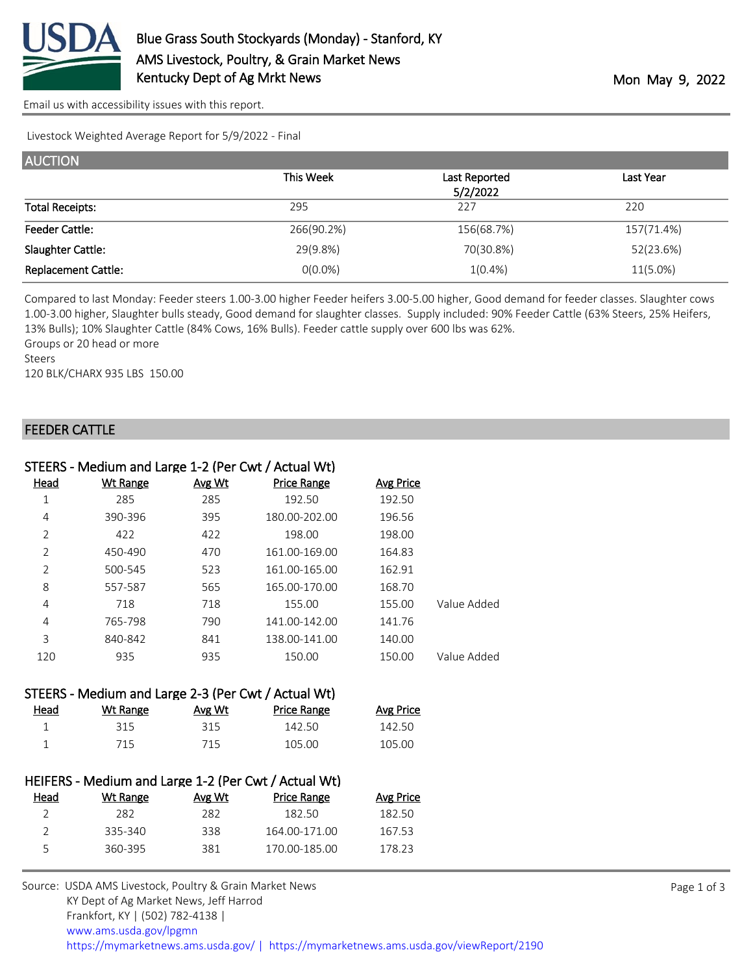

[Email us with accessibility issues with this report.](mailto:mars@ams.usda.gov?subject=508%20issue)

Livestock Weighted Average Report for 5/9/2022 - Final

| <b>AUCTION</b>             |            |               |            |  |
|----------------------------|------------|---------------|------------|--|
|                            | This Week  | Last Reported | Last Year  |  |
|                            |            | 5/2/2022      |            |  |
| <b>Total Receipts:</b>     | 295        | 227           | 220        |  |
| <b>Feeder Cattle:</b>      | 266(90.2%) | 156(68.7%)    | 157(71.4%) |  |
| Slaughter Cattle:          | 29(9.8%)   | 70(30.8%)     | 52(23.6%)  |  |
| <b>Replacement Cattle:</b> | $0(0.0\%)$ | $1(0.4\%)$    | 11(5.0%)   |  |

Compared to last Monday: Feeder steers 1.00-3.00 higher Feeder heifers 3.00-5.00 higher, Good demand for feeder classes. Slaughter cows 1.00-3.00 higher, Slaughter bulls steady, Good demand for slaughter classes. Supply included: 90% Feeder Cattle (63% Steers, 25% Heifers, 13% Bulls); 10% Slaughter Cattle (84% Cows, 16% Bulls). Feeder cattle supply over 600 lbs was 62%.

Groups or 20 head or more

Steers

120 BLK/CHARX 935 LBS 150.00

## FEEDER CATTLE

|      | STEERS - Medium and Large 1-2 (Per Cwt / Actual Wt) |               |                    |           |             |
|------|-----------------------------------------------------|---------------|--------------------|-----------|-------------|
| Head | <b>Wt Range</b>                                     | <b>Avg Wt</b> | <b>Price Range</b> | Avg Price |             |
| 1    | 285                                                 | 285           | 192.50             | 192.50    |             |
| 4    | 390-396                                             | 395           | 180.00-202.00      | 196.56    |             |
| 2    | 422                                                 | 422           | 198.00             | 198.00    |             |
| 2    | 450-490                                             | 470           | 161.00-169.00      | 164.83    |             |
| 2    | 500-545                                             | 523           | 161.00-165.00      | 162.91    |             |
| 8    | 557-587                                             | 565           | 165.00-170.00      | 168.70    |             |
| 4    | 718                                                 | 718           | 155.00             | 155.00    | Value Added |
| 4    | 765-798                                             | 790           | 141.00-142.00      | 141.76    |             |
| 3    | 840-842                                             | 841           | 138.00-141.00      | 140.00    |             |
| 120  | 935                                                 | 935           | 150.00             | 150.00    | Value Added |

|      | STEERS - Medium and Large 2-3 (Per Cwt / Actual Wt) |        |             |                  |
|------|-----------------------------------------------------|--------|-------------|------------------|
| Head | Wt Range                                            | Avg Wt | Price Range | <b>Avg Price</b> |
|      | 315                                                 | 315    | 142.50      | 142.50           |
|      | 715                                                 | 715    | 105.00      | 105.00           |

|               |          |        | HEIFERS - Medium and Large 1-2 (Per Cwt / Actual Wt) |                  |
|---------------|----------|--------|------------------------------------------------------|------------------|
| Head          | Wt Range | Avg Wt | Price Range                                          | <b>Avg Price</b> |
| $\mathcal{L}$ | 282      | 282    | 182.50                                               | 182.50           |
| $\mathcal{L}$ | 335-340  | 338    | 164.00-171.00                                        | 167.53           |
| 5.            | 360-395  | 381    | 170.00-185.00                                        | 178 23           |
|               |          |        |                                                      |                  |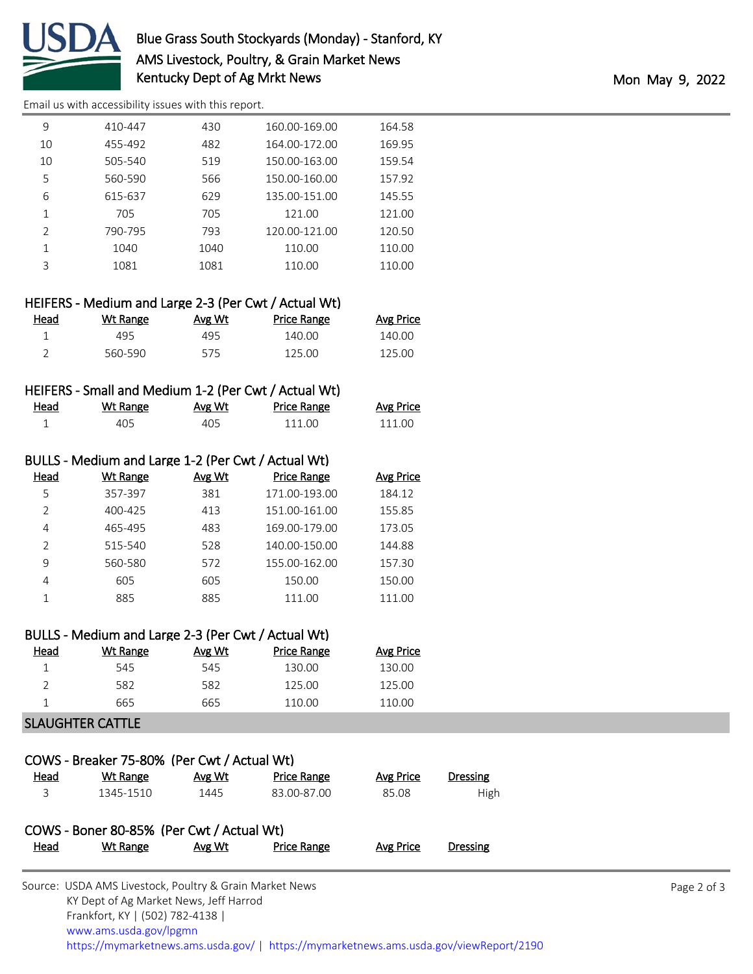

[Email us with accessibility issues with this report.](mailto:mars@ams.usda.gov?subject=508%20issue)

| 9              | 410-447 | 430  | 160.00-169.00 | 164.58 |
|----------------|---------|------|---------------|--------|
| 10             | 455-492 | 482  | 164.00-172.00 | 169.95 |
| 10             | 505-540 | 519  | 150.00-163.00 | 159.54 |
| 5              | 560-590 | 566  | 150.00-160.00 | 157.92 |
| 6              | 615-637 | 629  | 135.00-151.00 | 145.55 |
| 1              | 705     | 705  | 121.00        | 121.00 |
| $\mathfrak{D}$ | 790-795 | 793  | 120.00-121.00 | 120.50 |
| 1              | 1040    | 1040 | 110.00        | 110.00 |
| ς              | 1081    | 1081 | 110.00        | 110.00 |
|                |         |      |               |        |

|      |          |        | HEIFERS - Medium and Large 2-3 (Per Cwt / Actual Wt) |                  |
|------|----------|--------|------------------------------------------------------|------------------|
| Head | Wt Range | Avg Wt | Price Range                                          | <b>Avg Price</b> |
|      | 495      | 495    | 140.00                                               | 140.00           |
|      | 560-590  | 575    | 125.OO                                               | 125.00           |

## HEIFERS - Small and Medium 1-2 (Per Cwt / Actual Wt)

| Head | Wt Range | Avg Wt | Price Range | <b>Avg Price</b> |
|------|----------|--------|-------------|------------------|
|      | 405      | 405    | 111 NO      | 111.00           |

| BULLS - Medium and Large 1-2 (Per Cwt / Actual Wt) |        |                    |                  |  |
|----------------------------------------------------|--------|--------------------|------------------|--|
| <b>Wt Range</b>                                    | Avg Wt | <b>Price Range</b> | <b>Avg Price</b> |  |
| 357-397                                            | 381    | 171.00-193.00      | 184.12           |  |
| 400-425                                            | 413    | 151.00-161.00      | 155.85           |  |
| 465-495                                            | 483    | 169.00-179.00      | 173.05           |  |
| 515-540                                            | 528    | 140.00-150.00      | 144.88           |  |
| 560-580                                            | 572    | 155.00-162.00      | 157.30           |  |
| 605                                                | 605    | 150.00             | 150.00           |  |
| 885                                                | 885    | 111.00             | 111.00           |  |
|                                                    |        |                    |                  |  |

|               | BULLS - Medium and Large 2-3 (Per Cwt / Actual Wt) |        |             |           |
|---------------|----------------------------------------------------|--------|-------------|-----------|
| Head          | Wt Range                                           | Avg Wt | Price Range | Avg Price |
|               | 545                                                | 545    | 130.00      | 130.00    |
| $\mathcal{D}$ | 582                                                | 582    | 125.00      | 125.00    |
|               | 665                                                | 665    | 110.00      | 110.00    |

## SLAUGHTER CATTLE

|      | COWS - Breaker 75-80% (Per Cwt / Actual Wt) |        |                    |                  |          |
|------|---------------------------------------------|--------|--------------------|------------------|----------|
| Head | Wt Range                                    | Avg Wt | <b>Price Range</b> | Avg Price        | Dressing |
| 3    | 1345-1510                                   | 1445   | 83.00-87.00        | 85.08            | High     |
|      | COWS - Boner 80-85% (Per Cwt / Actual Wt)   |        |                    |                  |          |
| Head | Wt Range                                    | Avg Wt | <b>Price Range</b> | <b>Avg Price</b> | Dressing |